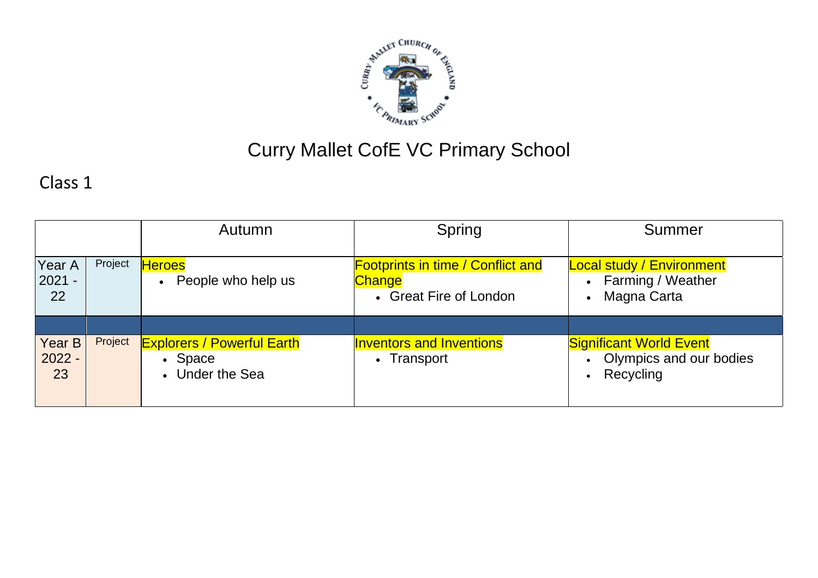

## Curry Mallet CofE VC Primary School

## Class 1

|                          |         | Autumn                                                          | Spring                                                                              | Summer                                                                                                |
|--------------------------|---------|-----------------------------------------------------------------|-------------------------------------------------------------------------------------|-------------------------------------------------------------------------------------------------------|
| Year A<br>$2021 -$<br>22 | Project | <b>Heroes</b><br>People who help us<br>$\bullet$                | <b>Footprints in time / Conflict and</b><br><b>Change</b><br>• Great Fire of London | <b>Local study / Environment</b><br><b>Farming / Weather</b><br>$\bullet$<br>Magna Carta<br>$\bullet$ |
| Year B<br>$2022 -$<br>23 | Project | <b>Explorers / Powerful Earth</b><br>• Space<br>• Under the Sea | <b>Inventors and Inventions</b><br>Transport<br>$\bullet$                           | <b>Significant World Event</b><br>Olympics and our bodies<br>Recycling<br>$\bullet$                   |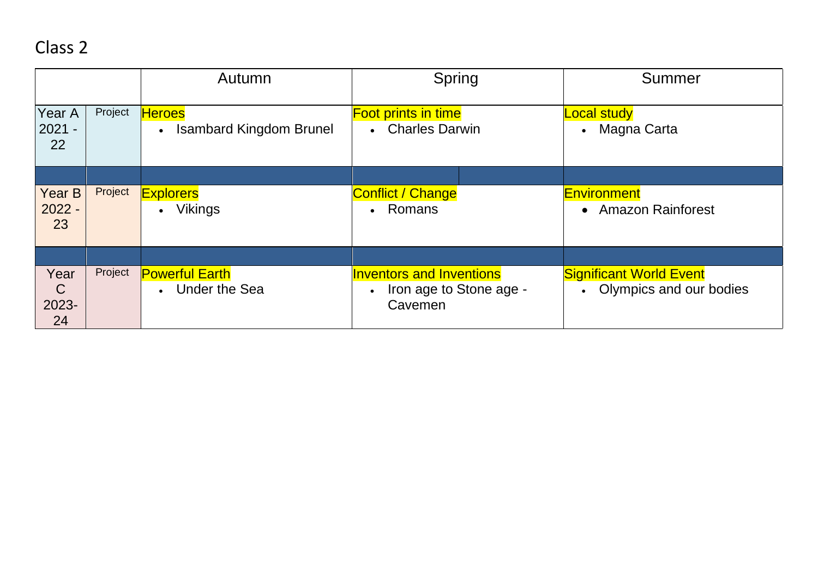## Class 2

|                                     |         | Autumn                                                       | Spring                                                                | Summer                                                      |
|-------------------------------------|---------|--------------------------------------------------------------|-----------------------------------------------------------------------|-------------------------------------------------------------|
| Year A<br>$2021 -$<br>22            | Project | <b>Heroes</b><br><b>Isambard Kingdom Brunel</b><br>$\bullet$ | <b>Foot prints in time</b><br>• Charles Darwin                        | <b>Local study</b><br>• Magna Carta                         |
|                                     |         |                                                              |                                                                       |                                                             |
| <b>Year B</b><br>$2022 -$<br>23     | Project | <b>Explorers</b><br><b>Vikings</b>                           | <b>Conflict / Change</b><br>• Romans                                  | <b>Environment</b><br>• Amazon Rainforest                   |
|                                     |         |                                                              |                                                                       |                                                             |
| Year<br>$\mathsf{C}$<br>2023-<br>24 | Project | <b>Powerful Earth</b><br><b>Under the Sea</b>                | <b>Inventors and Inventions</b><br>Iron age to Stone age -<br>Cavemen | <b>Significant World Event</b><br>• Olympics and our bodies |